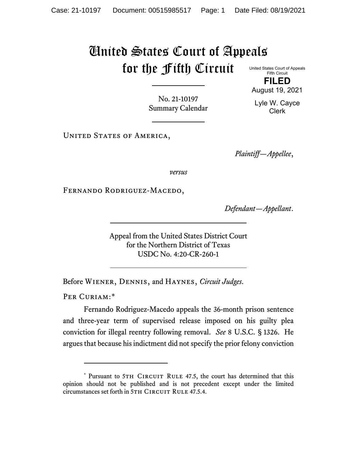## United States Court of Appeals for the Fifth Circuit

United States Court of Appeals Fifth Circuit **FILED**

August 19, 2021

No. 21-10197 Summary Calendar

Lyle W. Cayce Clerk

UNITED STATES OF AMERICA,

*Plaintiff—Appellee*,

*versus*

FERNANDO RODRIGUEZ-MACEDO,

*Defendant—Appellant*.

Appeal from the United States District Court for the Northern District of Texas USDC No. 4:20-CR-260-1

Before Wiener, Dennis, and Haynes, *Circuit Judges*.

PER CURIAM:[\\*](#page-0-0)

Fernando Rodriguez-Macedo appeals the 36-month prison sentence and three-year term of supervised release imposed on his guilty plea conviction for illegal reentry following removal. *See* 8 U.S.C. § 1326. He argues that because his indictment did not specify the prior felony conviction

<span id="page-0-0"></span><sup>\*</sup> Pursuant to 5TH CIRCUIT RULE 47.5, the court has determined that this opinion should not be published and is not precedent except under the limited circumstances set forth in 5TH CIRCUIT RULE 47.5.4.